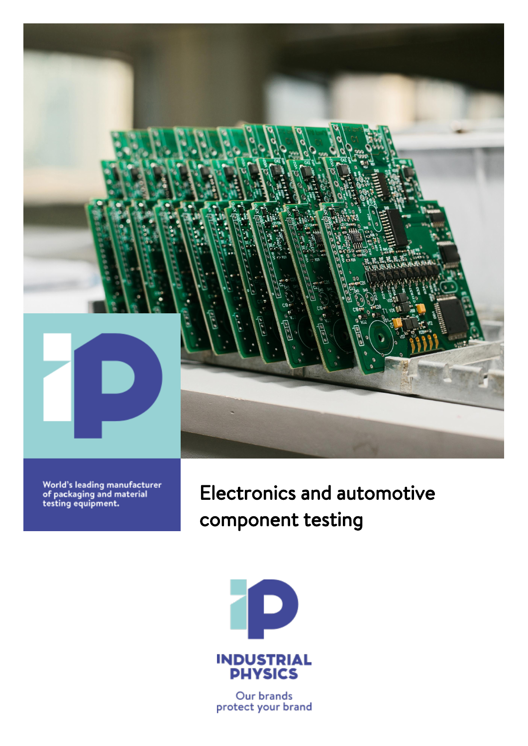

World's leading manufacturer<br>of packaging and material<br>testing equipment.

Electronics and automotive component testing



Our brands protect your brand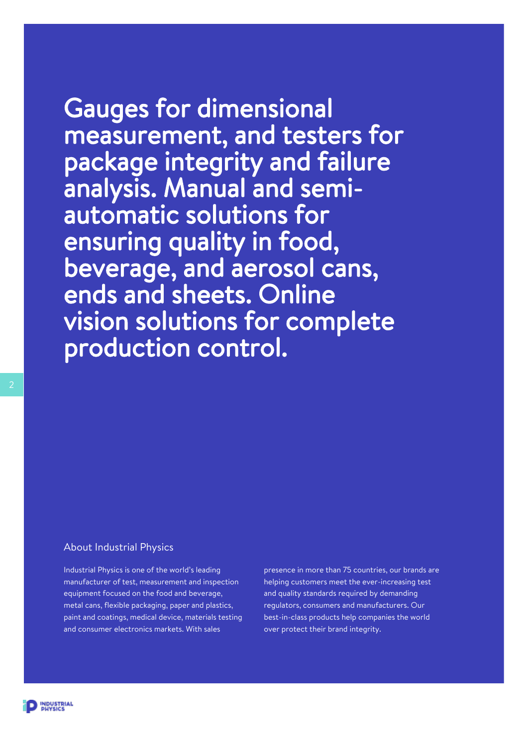Gauges for dimensional measurement, and testers for package integrity and failure analysis. Manual and semiautomatic solutions for ensuring quality in food, beverage, and aerosol cans, ends and sheets. Online vision solutions for complete production control.

#### About Industrial Physics

Industrial Physics is one of the world's leading manufacturer of test, measurement and inspection equipment focused on the food and beverage, metal cans, flexible packaging, paper and plastics, paint and coatings, medical device, materials testing and consumer electronics markets. With sales

presence in more than 75 countries, our brands are helping customers meet the ever-increasing test and quality standards required by demanding regulators, consumers and manufacturers. Our best-in-class products help companies the world over protect their brand integrity.

**INDUSTRIAL**<br>PHYSICS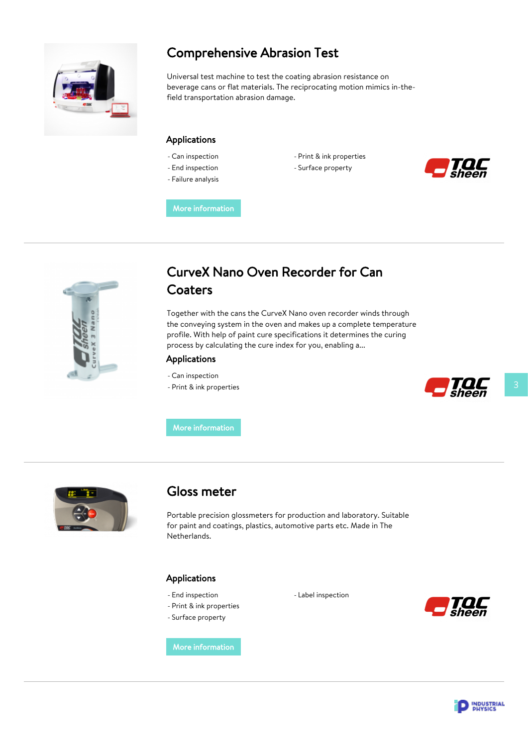

### Comprehensive Abrasion Test

Universal test machine to test the coating abrasion resistance on beverage cans or flat materials. The reciprocating motion mimics in-thefield transportation abrasion damage.

#### Applications

- Can inspection
- End inspection
- Failure analysis
- Print & ink properties
- Surface property



[More information](https://www.industrial-physics.com/en-us/comprehensive-abrasion-test?utm_source=PDF&utm_medium=brochure)



### CurveX Nano Oven Recorder for Can **Coaters**

Together with the cans the CurveX Nano oven recorder winds through the conveying system in the oven and makes up a complete temperature profile. With help of paint cure specifications it determines the curing process by calculating the cure index for you, enabling a...

#### Applications

- Can inspection
- Print & ink properties



[More information](https://www.industrial-physics.com/en-us/curvex-nano-oven-recorder-for-can-coaters?utm_source=PDF&utm_medium=brochure)



#### Gloss meter

Portable precision glossmeters for production and laboratory. Suitable for paint and coatings, plastics, automotive parts etc. Made in The Netherlands.

#### Applications

- End inspection
- Print & ink properties
- Surface property

[More information](https://www.industrial-physics.com/en-us/gloss-meter?utm_source=PDF&utm_medium=brochure)

- Label inspection



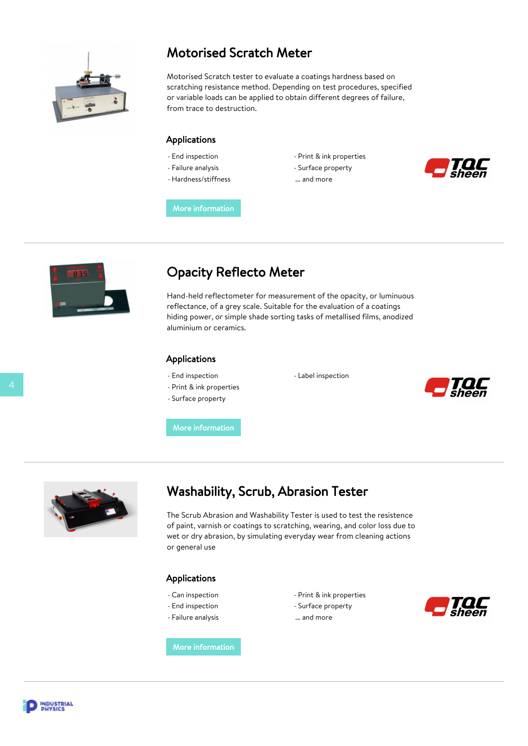

### Motorised Scratch Meter

Motorised Scratch tester to evaluate a coatings hardness based on scratching resistance method. Depending on test procedures, specified or variable loads can be applied to obtain different degrees of failure, from trace to destruction.

#### Applications

- End inspection
- Failure analysis
- Hardness/stiffness
- Print & ink properties - Surface property
- ... and more



[More information](https://www.industrial-physics.com/en-us/motorised-scratch-meter?utm_source=PDF&utm_medium=brochure)



### Opacity Reflecto Meter

Hand-held reflectometer for measurement of the opacity, or luminuous reflectance, of a grey scale. Suitable for the evaluation of a coatings hiding power, or simple shade sorting tasks of metallised films, anodized aluminium or ceramics.

#### Applications

- End inspection
- Print & ink properties
- Surface property

- Label inspection



[More information](https://www.industrial-physics.com/en-us/opacity-reflecto-meter?utm_source=PDF&utm_medium=brochure)



### Washability, Scrub, Abrasion Tester

The Scrub Abrasion and Washability Tester is used to test the resistence of paint, varnish or coatings to scratching, wearing, and color loss due to wet or dry abrasion, by simulating everyday wear from cleaning actions or general use

#### Applications

- Can inspection
- End inspection
- Failure analysis

- Print & ink properties
- Surface property
- ... and more



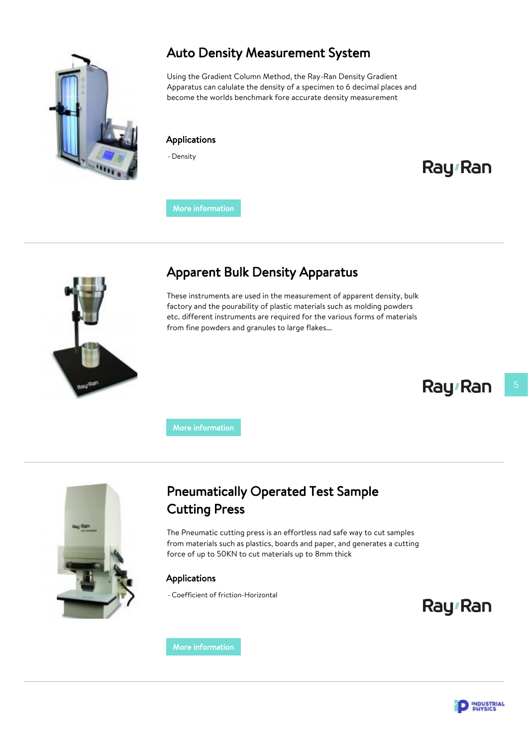

### Auto Density Measurement System

Using the Gradient Column Method, the Ray-Ran Density Gradient Apparatus can calulate the density of a specimen to 6 decimal places and become the worlds benchmark fore accurate density measurement

#### Applications

- Density

# Ray<sub>'</sub>Ran

[More information](https://www.industrial-physics.com/en-us/auto-density-measurement-system?utm_source=PDF&utm_medium=brochure)



### Apparent Bulk Density Apparatus

These instruments are used in the measurement of apparent density, bulk factory and the pourability of plastic materials such as molding powders etc. different instruments are required for the various forms of materials from fine powders and granules to large flakes...

# Ray<sub>'</sub>Ran

[More information](https://www.industrial-physics.com/en-us/apparent-bulk-density-apparatus?utm_source=PDF&utm_medium=brochure)



### Pneumatically Operated Test Sample Cutting Press

The Pneumatic cutting press is an effortless nad safe way to cut samples from materials such as plastics, boards and paper, and generates a cutting force of up to 50KN to cut materials up to 8mm thick

#### Applications

- Coefficient of friction-Horizontal

Ray<sub>'</sub>Ran

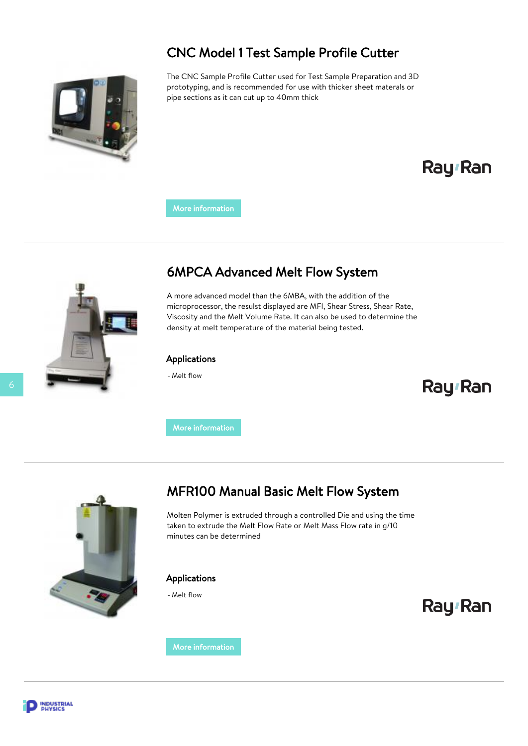### CNC Model 1 Test Sample Profile Cutter



The CNC Sample Profile Cutter used for Test Sample Preparation and 3D prototyping, and is recommended for use with thicker sheet materals or pipe sections as it can cut up to 40mm thick

# Ray<sub>'</sub>Ran

[More information](https://www.industrial-physics.com/en-us/cnc-test-sample-profile-cutter-1?utm_source=PDF&utm_medium=brochure)



### 6MPCA Advanced Melt Flow System

A more advanced model than the 6MBA, with the addition of the microprocessor, the resulst displayed are MFI, Shear Stress, Shear Rate, Viscosity and the Melt Volume Rate. It can also be used to determine the density at melt temperature of the material being tested.

#### Applications

- Melt flow

## Ray<sub>'</sub>Ran

[More information](https://www.industrial-physics.com/en-us/6mpca-advanced-melt-flow-system?utm_source=PDF&utm_medium=brochure)



### MFR100 Manual Basic Melt Flow System

Molten Polymer is extruded through a controlled Die and using the time taken to extrude the Melt Flow Rate or Melt Mass Flow rate in g/10 minutes can be determined

#### Applications

- Melt flow



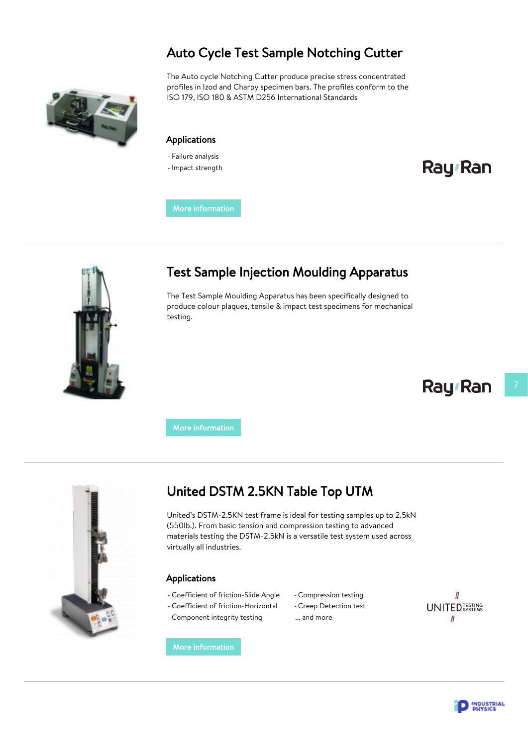### Auto Cycle Test Sample Notching Cutter

The Auto cycle Notching Cutter produce precise stress concentrated profiles in Izod and Charpy specimen bars. The profiles conform to the ISO 179, ISO 180 & ASTM D256 International Standards

#### Applications

- Failure analysis
- -Impact strength

# Ray Ran

[More information](https://www.industrial-physics.com/en-us/auto-cycle-test-sample-notching-cutter?utm_source=PDF&utm_medium=brochure)



### Test Sample Injection Moulding Apparatus

The Test Sample Moulding Apparatus has been specifically designed to produce colour plaques, tensile & impact test specimens for mechanical testing.

# Ray<sub>'</sub>Ran

[More information](https://www.industrial-physics.com/en-us/test-sample-injection-moulding-apparatus?utm_source=PDF&utm_medium=brochure)



### United DSTM 2.5KN Table Top UTM

United's DSTM-2.5KN test frame is ideal for testing samples up to 2.5kN (550lb.). From basic tension and compression testing to advanced materials testing the DSTM-2.5kN is a versatile test system used across virtually all industries.

#### Applications

- Coefficient of friction-Slide Angle
- Coefficient of friction-Horizontal
- Component integrity testing

- Compression testing
- Creep Detection test
- ... and more



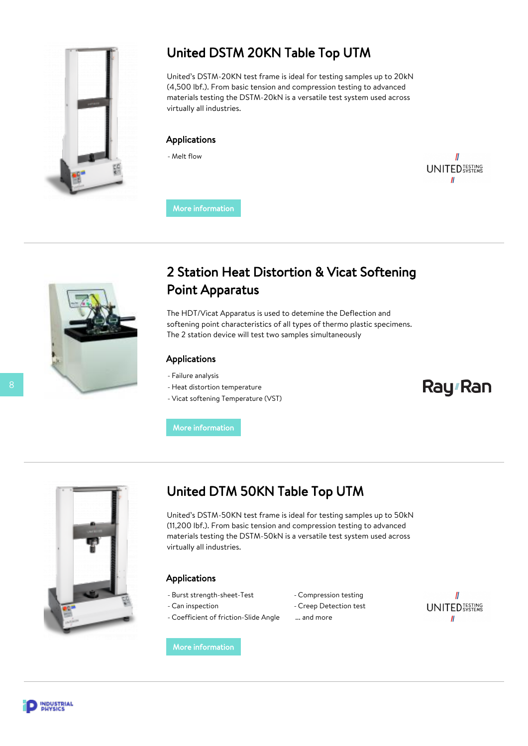

### United DSTM 20KN Table Top UTM

United's DSTM-20KN test frame is ideal for testing samples up to 20kN (4,500 lbf.). From basic tension and compression testing to advanced materials testing the DSTM-20kN is a versatile test system used across virtually all industries.

#### Applications

- Melt flow

 $\mathbf l$ **UNITED** TESTING  $\mathbf{u}$ 

[More information](https://www.industrial-physics.com/en-us/united-deluxe-20kn-table-top-utm?utm_source=PDF&utm_medium=brochure)



### 2 Station Heat Distortion & Vicat Softening Point Apparatus

The HDT/Vicat Apparatus is used to detemine the Deflection and softening point characteristics of all types of thermo plastic specimens. The 2 station device will test two samples simultaneously

#### Applications

- Failure analysis
- Heat distortion temperature
- Vicat softening Temperature (VST)

# Ray<sub>'</sub>Ran

#### [More information](https://www.industrial-physics.com/en-us/2-station-heat-distortion-en-vicat-softening-point-apparatus?utm_source=PDF&utm_medium=brochure)



### United DTM 50KN Table Top UTM

United's DSTM-50KN test frame is ideal for testing samples up to 50kN (11,200 lbf.). From basic tension and compression testing to advanced materials testing the DSTM-50kN is a versatile test system used across virtually all industries.

#### Applications

- Burst strength-sheet-Test
- Can inspection

- Coefficient of friction-Slide Angle
- Compression testing
- Creep Detection test
- ... and more



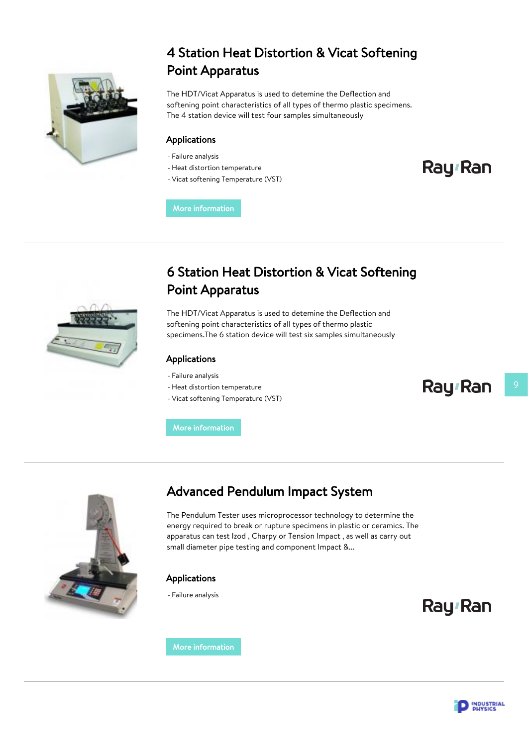

### 4 Station Heat Distortion & Vicat Softening Point Apparatus

The HDT/Vicat Apparatus is used to detemine the Deflection and softening point characteristics of all types of thermo plastic specimens. The 4 station device will test four samples simultaneously

#### Applications

- Failure analysis
- Heat distortion temperature
- Vicat softening Temperature (VST)

Ray<sub>'</sub>Ran

[More information](https://www.industrial-physics.com/en-us/4-station-heat-distortion-en-vicat-softening-point-apparatus?utm_source=PDF&utm_medium=brochure)



### 6 Station Heat Distortion & Vicat Softening Point Apparatus

The HDT/Vicat Apparatus is used to detemine the Deflection and softening point characteristics of all types of thermo plastic specimens.The 6 station device will test six samples simultaneously

#### Applications

- Failure analysis
- Heat distortion temperature
- Vicat softening Temperature (VST)

[More information](https://www.industrial-physics.com/en-us/6-station-heat-distortion-en-vicat-softening-point-apparatus?utm_source=PDF&utm_medium=brochure)



### Advanced Pendulum Impact System

The Pendulum Tester uses microprocessor technology to determine the energy required to break or rupture specimens in plastic or ceramics. The apparatus can test Izod , Charpy or Tension Impact , as well as carry out small diameter pipe testing and component Impact &...

#### Applications

- Failure analysis

Ray<sub>'</sub>Ran

Ray<sub>'</sub>Ran

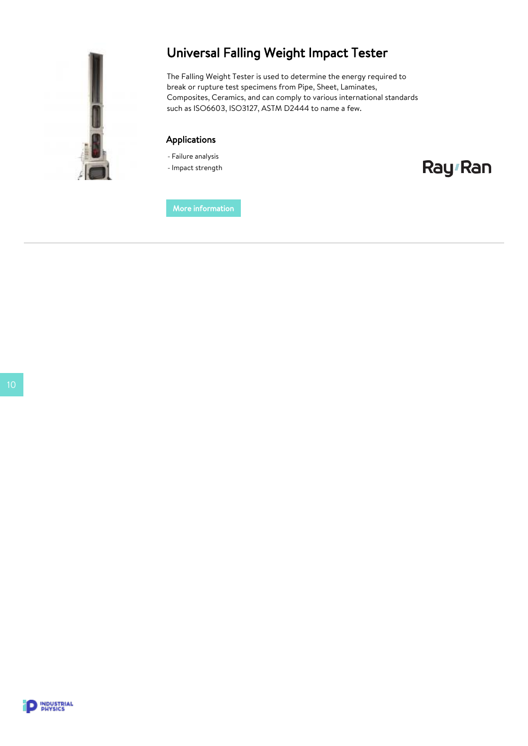

### Universal Falling Weight Impact Tester

The Falling Weight Tester is used to determine the energy required to break or rupture test specimens from Pipe, Sheet, Laminates, Composites, Ceramics, and can comply to various international standards such as ISO6603, ISO3127, ASTM D2444 to name a few.

#### Applications

- Failure analysis

-Impact strength